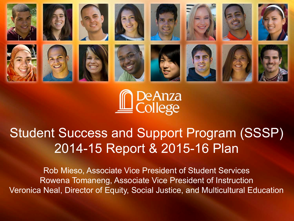



## Student Success and Support Program (SSSP) 2014-15 Report & 2015-16 Plan

Rob Mieso, Associate Vice President of Student Services Rowena Tomaneng, Associate Vice President of Instruction Veronica Neal, Director of Equity, Social Justice, and Multicultural Education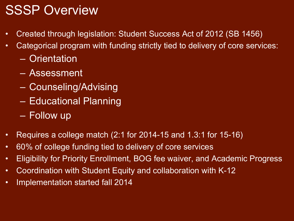## SSSP Overview

- Created through legislation: Student Success Act of 2012 (SB 1456)
- Categorical program with funding strictly tied to delivery of core services:
	- Orientation
	- Assessment
	- Counseling/Advising
	- Educational Planning
	- Follow up
- Requires a college match (2:1 for 2014-15 and 1.3:1 for 15-16)
- 60% of college funding tied to delivery of core services
- Eligibility for Priority Enrollment, BOG fee waiver, and Academic Progress
- Coordination with Student Equity and collaboration with K-12
- Implementation started fall 2014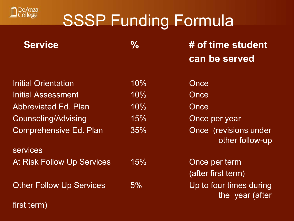

# SSSP Funding Formula

| <b>Service</b>                    | $\frac{0}{0}$ | # of time student                          |  |
|-----------------------------------|---------------|--------------------------------------------|--|
|                                   |               | can be served                              |  |
| <b>Initial Orientation</b>        | 10%           | Once                                       |  |
| <b>Initial Assessment</b>         | 10%           | Once                                       |  |
| <b>Abbreviated Ed. Plan</b>       | 10%           | Once                                       |  |
| <b>Counseling/Advising</b>        | 15%           | Once per year                              |  |
| <b>Comprehensive Ed. Plan</b>     | 35%           | Once (revisions under<br>other follow-up   |  |
| <b>services</b>                   |               |                                            |  |
| <b>At Risk Follow Up Services</b> | 15%           | Once per term                              |  |
|                                   |               | (after first term)                         |  |
| <b>Other Follow Up Services</b>   | 5%            | Up to four times during<br>the year (after |  |
|                                   |               |                                            |  |

first term)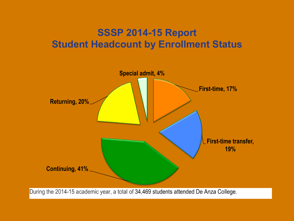#### **SSSP 2014-15 Report Student Headcount by Enrollment Status**



During the 2014-15 academic year, a total of 34,469 students attended De Anza College.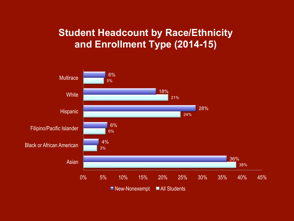#### **Student Headcount by Race/Ethnicity and Enrollment Type (2014-15)**

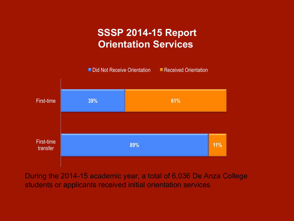#### **SSSP 2014-15 Report Orientation Services**



During the 2014-15 academic year, a total of 6,036 De Anza College students or applicants received initial orientation services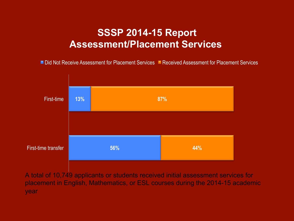#### **SSSP 2014-15 Report Assessment/Placement Services**

■ Did Not Receive Assessment for Placement Services ■ Received Assessment for Placement Services



A total of 10,749 applicants or students received initial assessment services for placement in English, Mathematics, or ESL courses during the 2014-15 academic year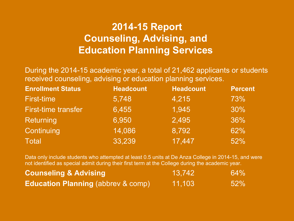#### **2014-15 Report Counseling, Advising, and Education Planning Services**

During the 2014-15 academic year, a total of 21,462 applicants or students received counseling, advising or education planning services.

| <b>Enrollment Status</b>   | <b>Headcount</b> | <b>Headcount</b> | <b>Percent</b> |
|----------------------------|------------------|------------------|----------------|
| <b>First-time</b>          | 5,748            | 4,215            | 73%            |
| <b>First-time transfer</b> | 6,455            | 1,945            | 30%            |
| Returning                  | 6,950            | 2,495            | 36%            |
| Continuing                 | 14,086           | 8,792            | 62%            |
| <b>Total</b>               | 33,239           | 17,447           | 52%            |

Data only include students who attempted at least 0.5 units at De Anza College in 2014-15, and were not identified as special admit during their first term at the College during the academic year.

| <b>Counseling &amp; Advising</b>              | 13.742 | $64\%$ |
|-----------------------------------------------|--------|--------|
| <b>Education Planning (abbrev &amp; comp)</b> | 11,103 | $52\%$ |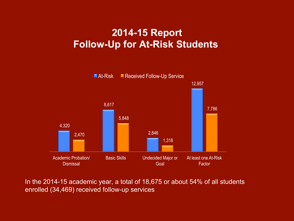#### **2014-15 Report Follow-Up for At-Risk Students**



In the 2014-15 academic year, a total of 18,675 or about 54% of all students enrolled (34,469) received follow-up services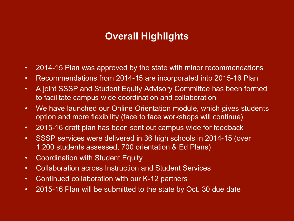#### **Overall Highlights**

- 2014-15 Plan was approved by the state with minor recommendations
- Recommendations from 2014-15 are incorporated into 2015-16 Plan
- A joint SSSP and Student Equity Advisory Committee has been formed to facilitate campus wide coordination and collaboration
- We have launched our Online Orientation module, which gives students option and more flexibility (face to face workshops will continue)
- 2015-16 draft plan has been sent out campus wide for feedback
- SSSP services were delivered in 36 high schools in 2014-15 (over 1,200 students assessed, 700 orientation & Ed Plans)
- Coordination with Student Equity
- Collaboration across Instruction and Student Services
- Continued collaboration with our K-12 partners
- 2015-16 Plan will be submitted to the state by Oct. 30 due date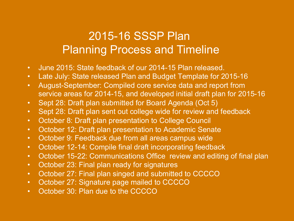### 2015-16 SSSP Plan Planning Process and Timeline

- June 2015: State feedback of our 2014-15 Plan released.
- Late July: State released Plan and Budget Template for 2015-16
- August-September: Compiled core service data and report from service areas for 2014-15, and developed initial draft plan for 2015-16
- Sept 28: Draft plan submitted for Board Agenda (Oct 5)
- Sept 28: Draft plan sent out college wide for review and feedback
- October 8: Draft plan presentation to College Council
- October 12: Draft plan presentation to Academic Senate
- October 9: Feedback due from all areas campus wide
- October 12-14: Compile final draft incorporating feedback
- October 15-22: Communications Office review and editing of final plan
- October 23: Final plan ready for signatures
- October 27: Final plan singed and submitted to CCCCO
- October 27: Signature page mailed to CCCCO
- October 30: Plan due to the CCCCO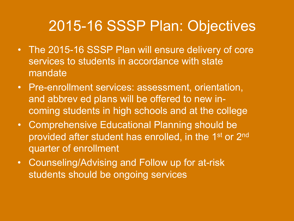# 2015-16 SSSP Plan: Objectives

- The 2015-16 SSSP Plan will ensure delivery of core services to students in accordance with state mandate
- Pre-enrollment services: assessment, orientation, and abbrev ed plans will be offered to new incoming students in high schools and at the college
- Comprehensive Educational Planning should be provided after student has enrolled, in the 1<sup>st</sup> or 2<sup>nd</sup> quarter of enrollment
- Counseling/Advising and Follow up for at-risk students should be ongoing services